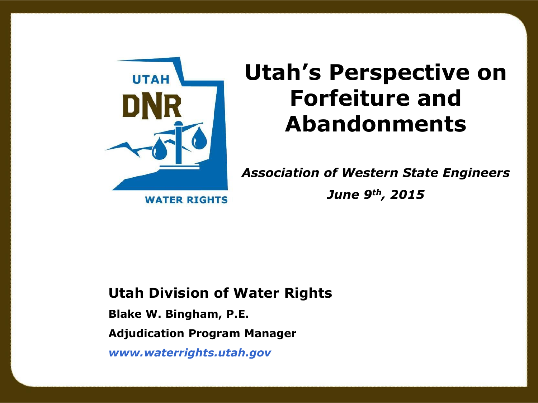

# **Forfeiture and Abandonments**

**Utah's Perspective on** 

*Association of Western State Engineers*

**WATER RIGHTS** 

*June 9th , 2015*

#### **Utah Division of Water Rights**

**Blake W. Bingham, P.E.**

**Adjudication Program Manager**

*www.waterrights.utah.gov*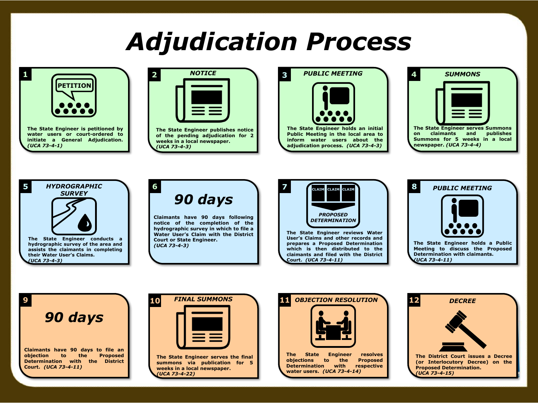## *Adjudication Process*





**of the pending adjudication for 2 weeks in a local newspaper.** *(UCA 73-4-3)*

**3** *PUBLIC MEETING*



**Public Meeting in the local area to inform water users about the adjudication process.** *(UCA 73-4-3)*







**6**

**Claimants have 90 days following notice of the completion of the hydrographic survey in which to file a Water User's Claim with the District Court or State Engineer.** *(UCA 73-4-3)*



**The State Engineer reviews Water User's Claims and other records and prepares a Proposed Determination which is then distributed to the claimants and filed with the District Court.** *(UCA 73-4-11)*



*90 days*

**Claimants have 90 days to file an objection to the Proposed Determination with the District Court.** *(UCA 73-4-11)*



**summons via publication for 5 weeks in a local newspaper.** *(UCA 73-4-22)*



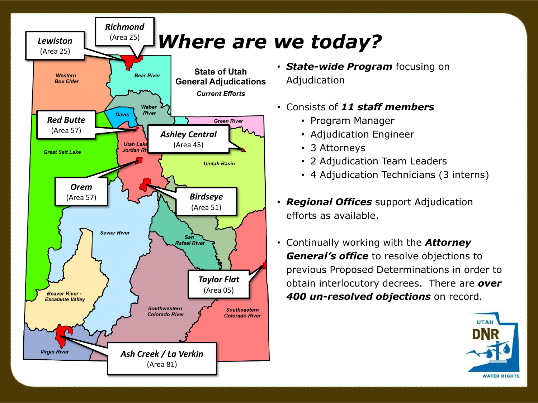

- *State-wide Program* focusing on Adjudication
- Consists of *11 staff members*
	- Program Manager
	- Adjudication Engineer
	- 3 Attorneys
	- 2 Adjudication Team Leaders
	- 4 Adjudication Technicians (3 interns)
- *Regional Offices* support Adjudication efforts as available.
- Continually working with the *Attorney General's office* to resolve objections to previous Proposed Determinations in order to obtain interlocutory decrees. There are *over 400 un-resolved objections* on record.

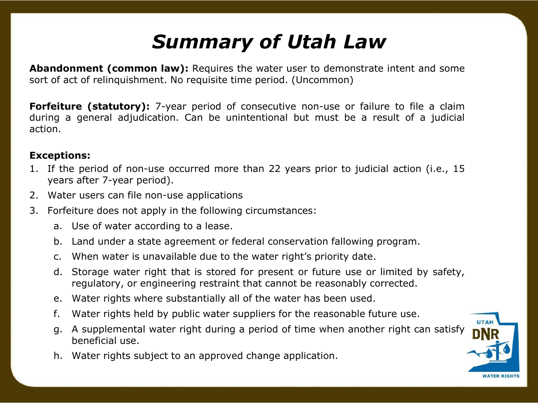### *Summary of Utah Law*

**Abandonment (common law):** Requires the water user to demonstrate intent and some sort of act of relinquishment. No requisite time period. (Uncommon)

**Forfeiture (statutory):** 7-year period of consecutive non-use or failure to file a claim during a general adjudication. Can be unintentional but must be a result of a judicial action.

#### **Exceptions:**

- 1. If the period of non-use occurred more than 22 years prior to judicial action (i.e., 15 years after 7-year period).
- 2. Water users can file non-use applications
- 3. Forfeiture does not apply in the following circumstances:
	- a. Use of water according to a lease.
	- b. Land under a state agreement or federal conservation fallowing program.
	- c. When water is unavailable due to the water right's priority date.
	- d. Storage water right that is stored for present or future use or limited by safety, regulatory, or engineering restraint that cannot be reasonably corrected.
	- e. Water rights where substantially all of the water has been used.
	- f. Water rights held by public water suppliers for the reasonable future use.
	- g. A supplemental water right during a period of time when another right can satisfy beneficial use.
	- h. Water rights subject to an approved change application.

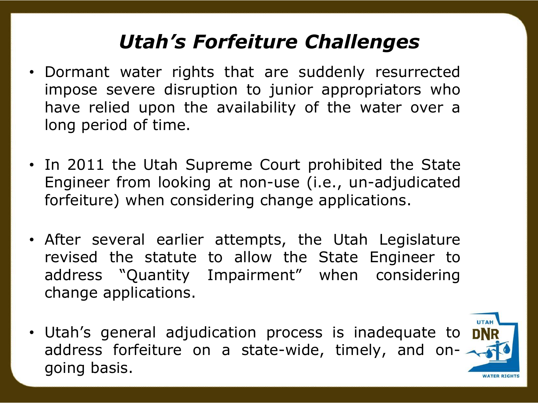### *Utah's Forfeiture Challenges*

- Dormant water rights that are suddenly resurrected impose severe disruption to junior appropriators who have relied upon the availability of the water over a long period of time.
- In 2011 the Utah Supreme Court prohibited the State Engineer from looking at non-use (i.e., un-adjudicated forfeiture) when considering change applications.
- After several earlier attempts, the Utah Legislature revised the statute to allow the State Engineer to address "Quantity Impairment" when considering change applications.
- Utah's general adjudication process is inadequate to DNR address forfeiture on a state-wide, timely, and ongoing basis.

*NATER RIGHT*